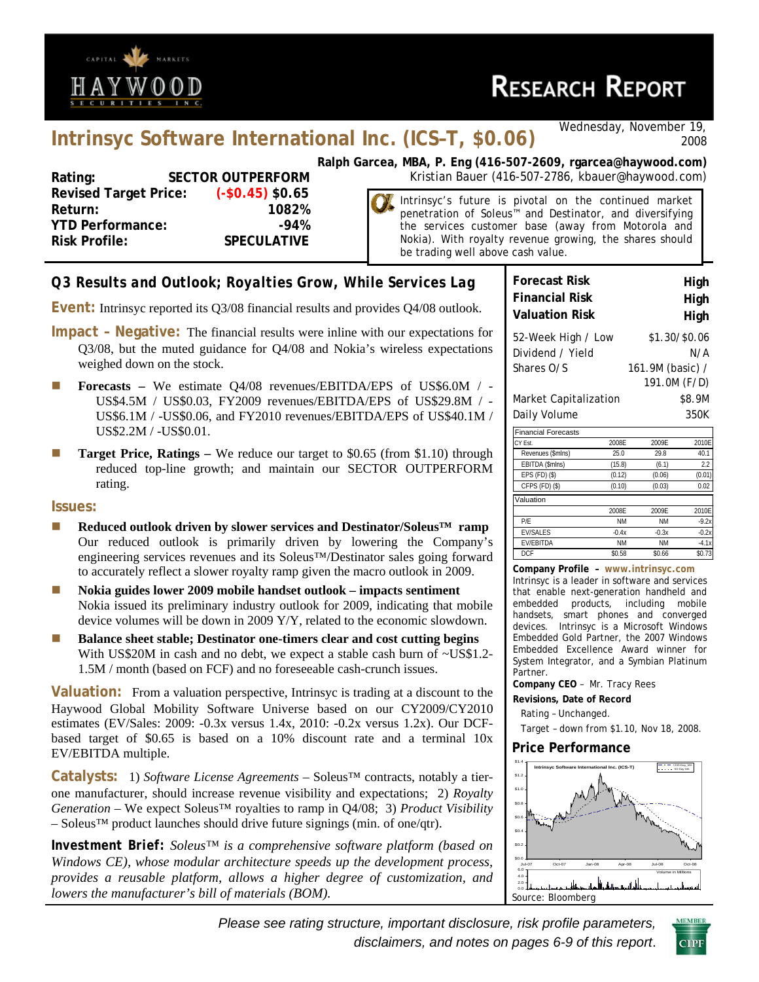

# **RESEARCH REPORT**

# **Intrinsyc Software International Inc. (ICS–T, \$0.06)** *Wednesday, November 19,*

*2008* 

**Revised Target Price: (-\$0.45) \$0.65 Return: 1082% YTD Performance:** 494% **Risk Profile: SPECULATIVE**

**Ralph Garcea, MBA, P. Eng (416-507-2609, rgarcea@haywood.com)** Rating: SECTOR OUTPERFORM Kristian Bauer (416-507-2786, kbauer@haywood.com)

> Intrinsyc's future is pivotal on the continued market penetration of Soleus™ and Destinator, and diversifying the services customer base (away from Motorola and Nokia). With royalty revenue growing, the shares should be trading well above cash value.

# *Q3 Results and Outlook; Royalties Grow, While Services Lag*

**Event:** Intrinsyc reported its Q3/08 financial results and provides Q4/08 outlook.

- **Impact Negative:** The financial results were inline with our expectations for Q3/08, but the muted guidance for Q4/08 and Nokia's wireless expectations weighed down on the stock.
- **Forecasts We estimate Q4/08 revenues/EBITDA/EPS of US\$6.0M / -**US\$4.5M / US\$0.03, FY2009 revenues/EBITDA/EPS of US\$29.8M / - US\$6.1M / -US\$0.06, and FY2010 revenues/EBITDA/EPS of US\$40.1M / US\$2.2M / -US\$0.01.
- **Target Price, Ratings –** We reduce our target to \$0.65 (from \$1.10) through reduced top-line growth; and maintain our SECTOR OUTPERFORM rating.

### **Issues:**

- **Reduced outlook driven by slower services and Destinator/Soleus<sup>™</sup> ramp** Our reduced outlook is primarily driven by lowering the Company's engineering services revenues and its Soleus™/Destinator sales going forward to accurately reflect a slower royalty ramp given the macro outlook in 2009.
- Nokia guides lower 2009 mobile handset outlook impacts sentiment Nokia issued its preliminary industry outlook for 2009, indicating that mobile device volumes will be down in 2009 Y/Y, related to the economic slowdown.
- **Balance sheet stable; Destinator one-timers clear and cost cutting begins** With US\$20M in cash and no debt, we expect a stable cash burn of ~US\$1.2-1.5M / month (based on FCF) and no foreseeable cash-crunch issues.

**Valuation:** From a valuation perspective, Intrinsyc is trading at a discount to the Haywood Global Mobility Software Universe based on our CY2009/CY2010 estimates (EV/Sales: 2009: -0.3x versus 1.4x, 2010: -0.2x versus 1.2x). Our DCFbased target of \$0.65 is based on a 10% discount rate and a terminal 10x EV/EBITDA multiple.

**Catalysts:** 1) *Software License Agreements* – Soleus™ contracts, notably a tierone manufacturer, should increase revenue visibility and expectations; 2) *Royalty Generation* – We expect Soleus™ royalties to ramp in Q4/08; 3) *Product Visibility* – Soleus™ product launches should drive future signings (min. of one/qtr).

*Investment Brief: Soleus™ is a comprehensive software platform (based on Windows CE), whose modular architecture speeds up the development process, provides a reusable platform, allows a higher degree of customization, and lowers the manufacturer's bill of materials (BOM).* 

| <b>Forecast Risk</b>                                 | High                                                     |
|------------------------------------------------------|----------------------------------------------------------|
| <b>Financial Risk</b>                                | High                                                     |
| <b>Valuation Risk</b>                                | High                                                     |
| 52-Week High / Low<br>Dividend / Yield<br>Shares O/S | \$1.30/\$0.06<br>N/A<br>161.9M (basic) /<br>191.0M (F/D) |
| Market Capitalization                                | \$8.9M                                                   |
| Daily Volume                                         | 350K                                                     |

| <b>Financial Forecasts</b> |           |           |         |
|----------------------------|-----------|-----------|---------|
| CY Est.                    | 2008F     | 2009F     | 2010E   |
| Revenues (\$mlns)          | 25.0      | 29.8      | 40.1    |
| EBITDA (\$mlns)            | (15.8)    | (6.1)     | 2.2     |
| $EPS$ (FD) $(\$)$          | (0.12)    | (0.06)    | (0.01)  |
| CFPS (FD) (\$)             | (0.10)    | (0.03)    | 0.02    |
| Valuation                  |           |           |         |
|                            | 2008E     | 2009E     | 2010E   |
| P/E                        | <b>NM</b> | <b>NM</b> | $-9.2x$ |
| <b>EV/SALES</b>            | $-0.4x$   | $-0.3x$   | $-0.2x$ |
| <b>EV/EBITDA</b>           | <b>NM</b> | <b>NM</b> | $-4.1x$ |
| <b>DCF</b>                 | \$0.58    | \$0.66    | \$0.73  |

**Company Profile – www.intrinsyc.com** Intrinsyc is a leader in software and services that enable next-generation handheld and embedded products, including mobile handsets, smart phones and converged devices. Intrinsyc is a Microsoft Windows Embedded Gold Partner, the 2007 Windows Embedded Excellence Award winner for System Integrator, and a Symbian Platinum Partner.

**Company CEO** – Mr. Tracy Rees

- **Revisions, Date of Record**
- Rating Unchanged.

Target – down from \$1.10, Nov 18, 2008.

### **Price Performance**



*Please see rating structure, important disclosure, risk profile parameters, disclaimers, and notes on pages 6-9 of this report*.

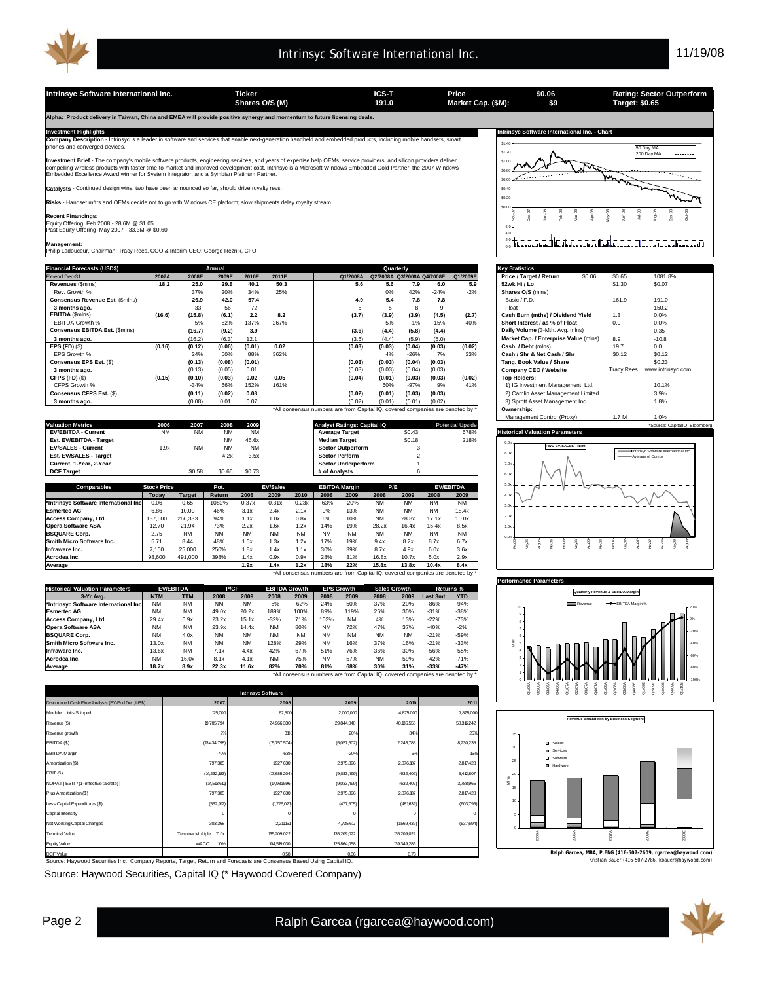**\$0.06 \$9**

**Alpha: Product delivery in Taiwan, China and EMEA will provide positive synergy and momentum to future licensing deals.** 

**y Description** - Intrinsyc is a leader in software and services that enable next-generation hand port - intrins<br>rged devices

**Investment Brief** - The company's mobile software products, engineering services, and years of expertise help OEMs, service providers, and silicon providers deliver<br>compelling wireless products with faster time-to-market

**Catalysts** - Continued design wins, two have been announced so far, should drive royalty revs.

**Risks** - Handset mftrs and OEMs decide not to go with Windows CE platform; slow shipments delay royalty stream.

**Recent Financings**:<br>Equity Offering Feb 2008 - 28.6M @ \$1.05<br>Past Equity Offering May 2007 - 33.3M @ \$0.60

**Management:** Philip Ladouceur, Chairman; Tracy Rees, COO & Interim CEO; George Reznik, CFO

| <b>Financial Forecasts (USD\$)</b> |        |        | Annual |        |       |                                                                                | Quarterly                  |        |        |          | <b>Key Statistics</b>                 |                   |                   |  |  |  |  |  |  |  |  |
|------------------------------------|--------|--------|--------|--------|-------|--------------------------------------------------------------------------------|----------------------------|--------|--------|----------|---------------------------------------|-------------------|-------------------|--|--|--|--|--|--|--|--|
| FY-end Dec-31                      | 2007A  | 2008E  | 2009E  | 2010E  | 2011E | Q1/2008A                                                                       | Q2/2008A Q3/2008A Q4/2008E |        |        | Q1/2009E | \$0.06<br>Price / Target / Return     | \$0.65            | 1081.8%           |  |  |  |  |  |  |  |  |
| Revenues (Smins)                   | 18.2   | 25.0   | 29.8   | 40.1   | 50.3  | 5.6                                                                            | 5.6                        | 7.9    | 6.0    | 5.9      | 52wk Hi / Lo                          | \$1.30            | \$0.07            |  |  |  |  |  |  |  |  |
| Rev. Growth %                      |        | 37%    | 20%    | 34%    | 25%   |                                                                                | $0\%$                      | 42%    | $-24%$ | $-2%$    | Shares O/S (mins)                     |                   |                   |  |  |  |  |  |  |  |  |
| Consensus Revenue Est. (\$mins)    |        | 26.9   | 42.0   | 57.4   |       | 4.9                                                                            | 5.4                        | 7.8    | 7.8    |          | Basic / F.D.                          | 161.9             | 191.0             |  |  |  |  |  |  |  |  |
| 3 months ago.                      |        | 33     | 56     | 72     |       |                                                                                |                            |        |        |          | Float                                 |                   | 150.2             |  |  |  |  |  |  |  |  |
| <b>EBITDA</b> (\$mins)             | (16.6) | (15.8) | (6.1)  | 2.2    | 8.2   | (3.7)                                                                          | (3.9)                      | (3.9)  | (4.5)  | (2.7)    | Cash Burn (mths) / Dividend Yield     | 1.3               | 0.0%              |  |  |  |  |  |  |  |  |
| EBITDA Growth %                    |        | 5%     | 62%    | 137%   | 267%  |                                                                                | $-5%$                      | $-1%$  | $-15%$ | 40%      | Short Interest / as % of Float        | 0.0               | 0.0%              |  |  |  |  |  |  |  |  |
| Consensus EBITDA Est. (\$mins)     |        | (16.7) | (9.2)  | 3.9    |       | (3.6)                                                                          | (4.4)                      | (5.8)  | (4.4)  |          | Daily Volume (3-Mth. Avg. mlns)       |                   | 0.35              |  |  |  |  |  |  |  |  |
| 3 months ago.                      |        | (16.2) | (6.3)  | 12.1   |       | (3.6)                                                                          | (4.4)                      | (5.9)  | (5.0)  |          | Market Cap. / Enterprise Value (mlns) | 8.9               | $-10.8$           |  |  |  |  |  |  |  |  |
| EPS $(FD)$ $(\$)$                  | (0.16) | (0.12) | (0.06) | (0.01) | 0.02  | (0.03)                                                                         | (0.03)                     | (0.04) | (0.03) | (0.02)   | Cash / Debt (mins)                    | 19.7              | 0.0               |  |  |  |  |  |  |  |  |
| EPS Growth %                       |        | 24%    | 50%    | 88%    | 362%  |                                                                                | 4%                         | $-26%$ | 7%     | 33%      | Cash / Shr & Net Cash / Shr           | \$0.12            | \$0.12            |  |  |  |  |  |  |  |  |
| Consensus EPS Est. (\$)            |        | (0.13) | (0.08) | (0.01) |       | (0.03)                                                                         | (0.03)                     | (0.04) | (0.03) |          | Tang, Book Value / Share              |                   | \$0.23            |  |  |  |  |  |  |  |  |
| 3 months ago.                      |        | (0.13) | (0.05) | 0.01   |       | (0.03)                                                                         | (0.03)                     | (0.04) | (0.03) |          | Company CEO / Website                 | <b>Tracy Rees</b> | www.intrinsyc.com |  |  |  |  |  |  |  |  |
| CFPS (FD) (\$)                     | (0.15) | (0.10) | (0.03) | 0.02   | 0.05  | (0.04)                                                                         | (0.01)                     | (0.03) | (0.03) | (0.02)   | <b>Top Holders:</b>                   |                   |                   |  |  |  |  |  |  |  |  |
| CFPS Growth %                      |        | $-34%$ | 66%    | 152%   | 161%  |                                                                                | 60%                        | $-97%$ | 9%     | 41%      | 1) IG Investment Management, Ltd.     |                   | 10.1%             |  |  |  |  |  |  |  |  |
| Consensus CFPS Est. (\$)           |        | (0.11) | (0.02) | 0.08   |       | (0.02)                                                                         | (0.01)                     | (0.03) | (0.03) |          | 2) Camlin Asset Management Limited    |                   | 3.9%              |  |  |  |  |  |  |  |  |
| 3 months ago.                      |        | (0.08) | 0.01   | 0.07   |       | (0.02)                                                                         | (0.01)                     | (0.01) | (0.02) |          | 3) Sprott Asset Management Inc.       |                   | 1.8%              |  |  |  |  |  |  |  |  |
|                                    |        |        |        |        |       | *All consensus numbers are from Capital IQ, covered companies are denoted by * |                            |        |        |          | Ownership:                            |                   |                   |  |  |  |  |  |  |  |  |

|                                       |                    |               |           |           |                 |           |                      |                             |           |           |           |                         | Manadement Control (Proxy)<br>1.7 M<br>1.U%                        |
|---------------------------------------|--------------------|---------------|-----------|-----------|-----------------|-----------|----------------------|-----------------------------|-----------|-----------|-----------|-------------------------|--------------------------------------------------------------------|
| <b>Valuation Metrics</b>              | 2006               | 2007          | 2008      | 2009      |                 |           |                      | Analyst Ratings: Capital IQ |           |           |           | <b>Potential Upside</b> | *Source: CapitalIQ, Bloomberg                                      |
| <b>EV/EBITDA - Current</b>            | <b>NM</b>          | <b>NM</b>     | <b>NM</b> | <b>NM</b> |                 |           |                      | <b>Average Target</b>       |           | \$0.43    |           | 678%                    | <b>Historical Valuation Parameters</b>                             |
| Est. EV/EBITDA - Target               |                    |               | <b>NM</b> | 46.6x     |                 |           | <b>Median Target</b> |                             |           | \$0.18    |           | 218%                    |                                                                    |
| <b>EV/SALES - Current</b>             | 1.9x               | <b>NM</b>     | <b>NM</b> | <b>NM</b> |                 |           |                      | <b>Sector Outperform</b>    |           |           |           |                         | <b>FWD EV/SALES - NTM</b><br>Intrinsyc Software International Inc. |
| Est. EV/SALES - Target                |                    |               | 4.2x      | 3.5x      |                 |           |                      | <b>Sector Perform</b>       |           |           |           |                         | Average of Comps                                                   |
| Current, 1-Year, 2-Year               |                    |               |           |           |                 |           |                      | <b>Sector Underperform</b>  |           |           |           |                         | 70x                                                                |
| <b>DCF Target</b>                     |                    | \$0.58        | \$0.66    | \$0.73    |                 |           | # of Analysts        |                             |           |           |           |                         | 6.0x                                                               |
|                                       |                    |               |           |           |                 |           |                      |                             |           |           |           |                         |                                                                    |
| Comparables                           | <b>Stock Price</b> |               | Pot.      |           | <b>EV/Sales</b> |           |                      | <b>EBITDA Margin</b>        |           | P/E       |           | <b>EV/EBITDA</b>        | $5.0x -$                                                           |
|                                       | Today              | <b>Target</b> | Return    | 2008      | 2009            | 2010      | 2008                 | 2009                        | 2008      | 2009      | 2008      | 2009                    | $4.0x +$                                                           |
| *Intrinsyc Software International Inc | 0.06               | 0.65          | 1082%     | $-0.37x$  | $-0.31x$        | $-0.23x$  | $-63%$               | $-20%$                      | <b>NM</b> | <b>NM</b> | <b>NM</b> | <b>NM</b>               | 30x                                                                |
| <b>Esmertec AG</b>                    | 6.86               | 10.00         | 46%       | 3.1x      | 2.4x            | 2.1x      | 9%                   | 13%                         | <b>NM</b> | <b>NM</b> | <b>NM</b> | 18.4x                   |                                                                    |
| Access Company, Ltd.                  | 137,500            | 266,333       | 94%       | 1.1x      | 1.0x            | 0.8x      | 6%                   | 10%                         | <b>NM</b> | 28.8x     | 17.1x     | 10.0x                   |                                                                    |
| <b>Opera Software ASA</b>             | 12.70              | 21.94         | 73%       | 2.2x      | 1.6x            | 1.2x      | 14%                  | 19%                         | 28.2x     | 16.4x     | 15.4x     | 8.5x                    |                                                                    |
| <b>BSQUARE Corp.</b>                  | 2.75               | <b>NM</b>     | <b>NM</b> | <b>NM</b> | <b>NM</b>       | <b>NM</b> | <b>NM</b>            | <b>NM</b>                   | <b>NM</b> | <b>NM</b> | <b>NM</b> | <b>NM</b>               |                                                                    |
| Smith Micro Software Inc.             | 5.71               | 8.44          | 48%       | 1.5x      | 1.3x            | 1.2x      | 17%                  | 19%                         | 9.4x      | 8.2x      | 8.7x      | 6.7x                    |                                                                    |
| Infraware Inc.                        | 7.150              | 25,000        | 250%      | 1.8x      | 1.4x            | 1.1x      | 30%                  | 39%                         | 8.7x      | 4.9x      | 6.0x      | 3.6x                    |                                                                    |
| Acrodea Inc.                          | 98,600             | 491,000       | 398%      | 1.4x      | 0.9x            | 0.9x      | 28%                  | 31%                         | 16.8x     | 10.7x     | 5.0x      | 2.9x                    |                                                                    |
| Average                               |                    |               |           | 1.9x      | 1.4x            | 1.2x      | 18%                  | 22%                         | 15.8x     | 13.8x     | 10.4x     | 8.4x                    |                                                                    |

| <b>Historical Valuation Parameters</b> |            | <b>EV/EBITDA</b> | P/CF      |           | <b>EBITDA Growth</b> |           |           | <b>EPS Growth</b> | <b>Sales Growth</b> |           | Returns %                                                                    |            |
|----------------------------------------|------------|------------------|-----------|-----------|----------------------|-----------|-----------|-------------------|---------------------|-----------|------------------------------------------------------------------------------|------------|
| 3-Yr Ava.                              | <b>NTM</b> | <b>TTM</b>       | 2008      | 2009      | 2008                 | 2009      | 2008      | 2009              | 2008                | 2009      | Last 3mtl                                                                    | <b>YTD</b> |
| *Intrinsyc Software International Inc  | <b>NM</b>  | <b>NM</b>        | <b>NM</b> | <b>NM</b> | $-5%$                | $-62%$    | 24%       | 50%               | 37%                 | 20%       | $-86%$                                                                       | $-94%$     |
| <b>Esmertec AG</b>                     | <b>NM</b>  | <b>NM</b>        | 49.0x     | 20.2x     | 189%                 | 100%      | 89%       | 119%              | 26%                 | 30%       | $-31%$                                                                       | $-38%$     |
| Access Company, Ltd.                   | 29.4x      | 6.9x             | 23.2x     | 15.1x     | $-32%$               | 71%       | 103%      | <b>NM</b>         | 4%                  | 13%       | $-22%$                                                                       | $-73%$     |
| <b>Opera Software ASA</b>              | <b>NM</b>  | <b>NM</b>        | 23.9x     | 14.4x     | <b>NM</b>            | 80%       | <b>NM</b> | 72%               | 47%                 | 37%       | $-40%$                                                                       | $-2%$      |
| <b>BSQUARE Corp.</b>                   | <b>NM</b>  | 4.0x             | <b>NM</b> | <b>NM</b> | <b>NM</b>            | <b>NM</b> | <b>NM</b> | <b>NM</b>         | <b>NM</b>           | <b>NM</b> | $-21%$                                                                       | $-59%$     |
| Smith Micro Software Inc.              | 13.0x      | <b>NM</b>        | <b>NM</b> | <b>NM</b> | 128%                 | 29%       | <b>NM</b> | 16%               | 37%                 | 16%       | $-21%$                                                                       | $-33%$     |
| Infraware Inc.                         | 13.6x      | <b>NM</b>        | 7.1x      | 4.4x      | 42%                  | 67%       | 51%       | 76%               | 36%                 | 30%       | $-56%$                                                                       | $-55%$     |
| Acrodea Inc.                           | <b>NM</b>  | 16.0x            | 8.1x      | 4.1x      | <b>NM</b>            | 75%       | <b>NM</b> | 57%               | <b>NM</b>           | 59%       | $-42%$                                                                       | $-71%$     |
| Average                                | 18.7x      | 8.9x             | 22.3x     | 11.6x     | 82%                  | 70%       | 81%       | 68%               | 30%                 | 31%       | $-33%$                                                                       | $-47%$     |
|                                        |            |                  |           |           |                      |           |           |                   |                     |           | *All consensus numbers are from Capital IQ, covered companies are denoted by |            |

|                                                                                                                                                                           |                            | <b>Intrinsyc Software</b> |             |             |            | as<br>Sa⊗                                                    |  |
|---------------------------------------------------------------------------------------------------------------------------------------------------------------------------|----------------------------|---------------------------|-------------|-------------|------------|--------------------------------------------------------------|--|
| Discounted Cash Flow Analysis (FY-End Dec, US\$)                                                                                                                          | 2007                       | 2008                      | 2009        | 2010        | 2011       |                                                              |  |
| Modeled Units Shipped                                                                                                                                                     | 125,000                    | 62,500                    | 2,000,000   | 4,875,000   | 7,875,000  |                                                              |  |
| Revenue (\$)                                                                                                                                                              | 19,705,794                 | 24,966,330                | 29,844,040  | 40,136,556  | 50,316,242 | Revenue Breakdown by Business Segment                        |  |
| Revenue growth                                                                                                                                                            | 2%                         | 3R                        | 20%         | 34%         | 25%        | $35 -$                                                       |  |
| EBITDA (\$)                                                                                                                                                               | (13, 434, 798)             | (15,757,574)              | (6,057,602) | 2,243,785   | 8,230,235  | <b>D</b> Soleus<br>30                                        |  |
| <b>EBITDA</b> Margin                                                                                                                                                      | $-70%$                     | $-63%$                    | $-20%$      |             |            | <b>B</b> Services<br>D Software                              |  |
| Amortization (\$)                                                                                                                                                         | 797,385                    | 1927,630                  | 2,975,896   | 2,876,187   | 2,817,428  | 25<br><b>U</b> Hardware                                      |  |
| EBIT(S)                                                                                                                                                                   | (14,232,183)               | (7,685,204)               | (9,033,499) | (632, 402)  | 5,412,807  | 20                                                           |  |
| NOPAT [EBIT * (1- effective tax rate) ]                                                                                                                                   | (14,513,611)               | (7,931596)                | (9,033,499) | (632, 402)  | 3,788,965  | 15                                                           |  |
| Plus Amortization (\$)                                                                                                                                                    | 797,385                    | 1927,630                  | 2,975,896   | 2,876,187   | 2,817,428  |                                                              |  |
| Less Capital Expenditures (\$)                                                                                                                                            | (562.912)                  | (1726.021)                | (477,505)   | (481639)    | (603,795)  | 10                                                           |  |
| Capital Intensity                                                                                                                                                         |                            |                           |             |             |            |                                                              |  |
| Net Working Capital Changes                                                                                                                                               | 303,368                    | 2,211,151                 | 4,735,617   | (1569, 439) | (537, 694) |                                                              |  |
| <b>Terminal Value</b>                                                                                                                                                     | Terminal Multiple<br>10.0x | 135,209,022               | 135,209,022 | 135,209,022 |            |                                                              |  |
| Equity Value                                                                                                                                                              | WACC<br>10%                | 104.519.030               | 125,864,058 | 139,349,286 |            |                                                              |  |
| DCF Value                                                                                                                                                                 |                            | 0.58                      | 0.66        | 0.73        |            | Ralph Garcea, MBA, P.ENG (416-507-2609, rgarcea@haywood.com) |  |
| Kristian Bauer (416-507-2786, kbauer@haywood.com)<br>Source: Haywood Securities Inc., Company Reports, Target, Return and Forecasts are Consensus Based Using Capital IQ. |                            |                           |             |             |            |                                                              |  |

Source: Haywood Securities, Capital IQ (\* Haywood Covered Company)



| <b>Key Statistics</b>                 |        |                   |                   |
|---------------------------------------|--------|-------------------|-------------------|
| Price / Target / Return               | \$0.06 | \$0.65            | 1081.8%           |
| 52wk Hi / Lo                          |        | \$1.30            | \$0.07            |
| Shares O/S (mlns)                     |        |                   |                   |
| Basic / F.D.                          |        | 161.9             | 191.0             |
| Float                                 |        |                   | 150.2             |
| Cash Burn (mths) / Dividend Yield     |        | 1.3               | 0.0%              |
| Short Interest / as % of Float        |        | 0.0               | 0.0%              |
| Daily Volume (3-Mth. Avg. mlns)       |        |                   | 0.35              |
| Market Cap. / Enterprise Value (mlns) |        | 8.9               | $-10.8$           |
| Cash / Debt (mlns)                    |        | 19.7              | 0.0               |
| Cash / Shr & Net Cash / Shr           |        | \$0.12            | \$0.12            |
| Tang. Book Value / Share              |        |                   | \$0.23            |
| Company CEO / Website                 |        | <b>Tracy Rees</b> | www.intrinsyc.com |
| <b>Top Holders:</b>                   |        |                   |                   |
| 1) IG Investment Management, Ltd.     |        |                   | 10.1%             |
| 2) Camlin Asset Management Limited    |        |                   | 3.9%              |
| 3) Sprott Asset Management Inc.       |        |                   | 1.8%              |
| Ownership:                            |        |                   |                   |
| Management Control (Proxy)            |        | 1.7 M             | 1.0%              |









**Average 1.9x 1.4x 1.2x 18% 22% 15.8x 13.8x 10.4x 8.4x**

\*All consensus numbers are from Capital IQ, covered companies are denoted by \*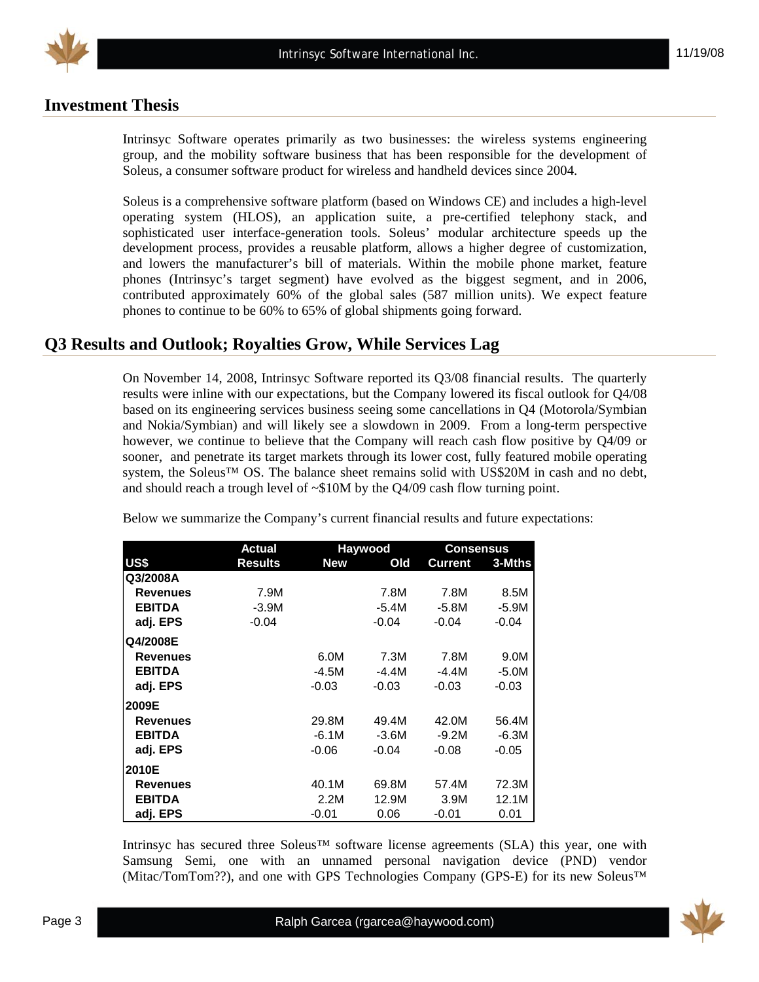

# **Investment Thesis**

Intrinsyc Software operates primarily as two businesses: the wireless systems engineering group, and the mobility software business that has been responsible for the development of Soleus, a consumer software product for wireless and handheld devices since 2004.

Soleus is a comprehensive software platform (based on Windows CE) and includes a high-level operating system (HLOS), an application suite, a pre-certified telephony stack, and sophisticated user interface-generation tools. Soleus' modular architecture speeds up the development process, provides a reusable platform, allows a higher degree of customization, and lowers the manufacturer's bill of materials. Within the mobile phone market, feature phones (Intrinsyc's target segment) have evolved as the biggest segment, and in 2006, contributed approximately 60% of the global sales (587 million units). We expect feature phones to continue to be 60% to 65% of global shipments going forward.

# **Q3 Results and Outlook; Royalties Grow, While Services Lag**

On November 14, 2008, Intrinsyc Software reported its Q3/08 financial results. The quarterly results were inline with our expectations, but the Company lowered its fiscal outlook for Q4/08 based on its engineering services business seeing some cancellations in Q4 (Motorola/Symbian and Nokia/Symbian) and will likely see a slowdown in 2009. From a long-term perspective however, we continue to believe that the Company will reach cash flow positive by Q4/09 or sooner, and penetrate its target markets through its lower cost, fully featured mobile operating system, the Soleus™ OS. The balance sheet remains solid with US\$20M in cash and no debt, and should reach a trough level of  $\sim$ \$10M by the Q4/09 cash flow turning point.

|                 | Actual         |            | Haywood | Consensus |         |
|-----------------|----------------|------------|---------|-----------|---------|
| US\$            | <b>Results</b> | <b>New</b> | Old     | Current   | 3-Mths  |
| Q3/2008A        |                |            |         |           |         |
| <b>Revenues</b> | 7.9M           |            | 7.8M    | 7.8M      | 8.5M    |
| <b>EBITDA</b>   | $-3.9M$        |            | $-5.4M$ | $-5.8M$   | $-5.9M$ |
| adj. EPS        | $-0.04$        |            | $-0.04$ | $-0.04$   | $-0.04$ |
| <b>Q4/2008E</b> |                |            |         |           |         |
| <b>Revenues</b> |                | 6.0M       | 7.3M    | 7.8M      | 9.0M    |
| <b>EBITDA</b>   |                | -4.5M      | -4.4M   | -4.4M     | $-5.0M$ |
| adj. EPS        |                | $-0.03$    | $-0.03$ | $-0.03$   | $-0.03$ |
| 2009E           |                |            |         |           |         |
| <b>Revenues</b> |                | 29.8M      | 49.4M   | 42.0M     | 56.4M   |
| <b>EBITDA</b>   |                | $-6.1M$    | $-3.6M$ | $-9.2M$   | $-6.3M$ |
| adj. EPS        |                | $-0.06$    | $-0.04$ | $-0.08$   | $-0.05$ |
| 2010E           |                |            |         |           |         |
| <b>Revenues</b> |                | 40.1M      | 69.8M   | 57.4M     | 72.3M   |
| <b>EBITDA</b>   |                | 2.2M       | 12.9M   | 3.9M      | 12.1M   |
| adj. EPS        |                | $-0.01$    | 0.06    | $-0.01$   | 0.01    |

Below we summarize the Company's current financial results and future expectations:

Intrinsyc has secured three Soleus™ software license agreements (SLA) this year, one with Samsung Semi, one with an unnamed personal navigation device (PND) vendor (Mitac/TomTom??), and one with GPS Technologies Company (GPS-E) for its new Soleus™

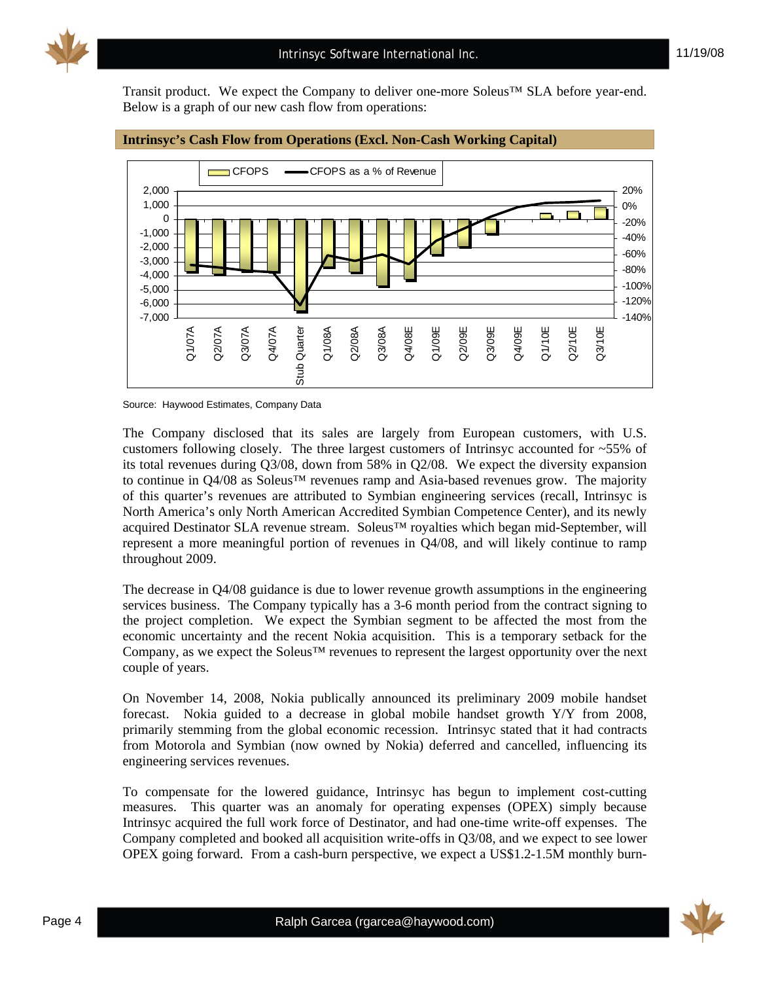

Transit product. We expect the Company to deliver one-more Soleus™ SLA before year-end. Below is a graph of our new cash flow from operations:



#### **Intrinsyc's Cash Flow from Operations (Excl. Non-Cash Working Capital)**

The Company disclosed that its sales are largely from European customers, with U.S. customers following closely. The three largest customers of Intrinsyc accounted for ~55% of its total revenues during Q3/08, down from 58% in Q2/08. We expect the diversity expansion to continue in Q4/08 as Soleus™ revenues ramp and Asia-based revenues grow. The majority of this quarter's revenues are attributed to Symbian engineering services (recall, Intrinsyc is North America's only North American Accredited Symbian Competence Center), and its newly acquired Destinator SLA revenue stream. Soleus™ royalties which began mid-September, will represent a more meaningful portion of revenues in Q4/08, and will likely continue to ramp throughout 2009.

The decrease in Q4/08 guidance is due to lower revenue growth assumptions in the engineering services business. The Company typically has a 3-6 month period from the contract signing to the project completion. We expect the Symbian segment to be affected the most from the economic uncertainty and the recent Nokia acquisition. This is a temporary setback for the Company, as we expect the Soleus™ revenues to represent the largest opportunity over the next couple of years.

On November 14, 2008, Nokia publically announced its preliminary 2009 mobile handset forecast. Nokia guided to a decrease in global mobile handset growth Y/Y from 2008, primarily stemming from the global economic recession. Intrinsyc stated that it had contracts from Motorola and Symbian (now owned by Nokia) deferred and cancelled, influencing its engineering services revenues.

To compensate for the lowered guidance, Intrinsyc has begun to implement cost-cutting measures. This quarter was an anomaly for operating expenses (OPEX) simply because Intrinsyc acquired the full work force of Destinator, and had one-time write-off expenses. The Company completed and booked all acquisition write-offs in Q3/08, and we expect to see lower OPEX going forward. From a cash-burn perspective, we expect a US\$1.2-1.5M monthly burn-



Source: Haywood Estimates, Company Data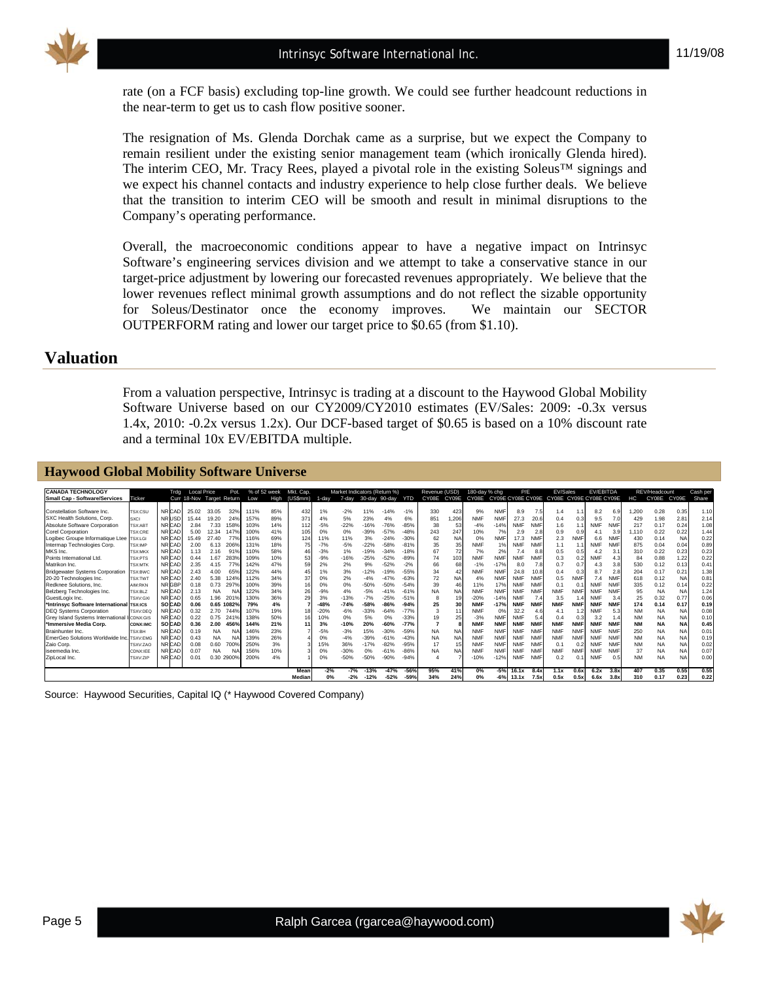

rate (on a FCF basis) excluding top-line growth. We could see further headcount reductions in the near-term to get us to cash flow positive sooner.

The resignation of Ms. Glenda Dorchak came as a surprise, but we expect the Company to remain resilient under the existing senior management team (which ironically Glenda hired). The interim CEO, Mr. Tracy Rees, played a pivotal role in the existing Soleus™ signings and we expect his channel contacts and industry experience to help close further deals. We believe that the transition to interim CEO will be smooth and result in minimal disruptions to the Company's operating performance.

Overall, the macroeconomic conditions appear to have a negative impact on Intrinsyc Software's engineering services division and we attempt to take a conservative stance in our target-price adjustment by lowering our forecasted revenues appropriately. We believe that the lower revenues reflect minimal growth assumptions and do not reflect the sizable opportunity for Soleus/Destinator once the economy improves. We maintain our SECTOR OUTPERFORM rating and lower our target price to \$0.65 (from \$1.10).

### **Valuation**

From a valuation perspective, Intrinsyc is trading at a discount to the Haywood Global Mobility Software Universe based on our CY2009/CY2010 estimates (EV/Sales: 2009: -0.3x versus 1.4x, 2010: -0.2x versus 1.2x). Our DCF-based target of \$0.65 is based on a 10% discount rate and a terminal 10x EV/EBITDA multiple.

| <b>Haywood Global Mobility Software Universe</b> |                 |              |                           |           |            |      |              |           |        |                              |               |        |            |               |                    |               |            |            |            |                                                 |            |            |            |           |               |           |          |
|--------------------------------------------------|-----------------|--------------|---------------------------|-----------|------------|------|--------------|-----------|--------|------------------------------|---------------|--------|------------|---------------|--------------------|---------------|------------|------------|------------|-------------------------------------------------|------------|------------|------------|-----------|---------------|-----------|----------|
| <b>CANADA TECHNOLOGY</b>                         |                 | Trdg         | <b>Local Price</b>        |           | Pot.       |      | % of 52 week | Mkt. Cap. |        | Market Indicators (Return %) |               |        |            | Revenue (USD) |                    | 180-day % chg |            | P/E        |            | EV/Sales                                        |            | EV/EBITDA  |            |           | REV/Headcount |           | Cash per |
| <b>Small Cap - Software/Services</b>             | Ticker          |              | Curr 18-Nov Target Return |           |            | Low  | High         | (US\$mm)  | 1-dav  | 7-day                        | 30-day 90-day |        | <b>YTD</b> | CY08E         | CY <sub>09</sub> E |               |            |            |            | CY08E CY09E CY08E CY09E CY08E CY09E CY08E CY08E |            |            |            | нc        | CY08E CY09E   |           | Share    |
|                                                  |                 |              |                           |           |            |      |              |           |        |                              |               |        |            |               |                    |               |            |            |            |                                                 |            |            |            |           |               |           |          |
| Constellation Software Inc.                      | TSX:CSU         | <b>NRCAD</b> | 25.02                     | 33.05     | 329        | 111% | 85%          | 432       | 1%     | $-2%$                        | 11%           | $-14%$ | $-1%$      | 330           | 423                | 9%            | <b>NMF</b> | 8.9        | 7.5        | 1.4                                             |            | 8.2        | 6.9        | 1.200     | 0.28          | 0.35      | 1.10     |
| SXC Health Solutions, Corp.                      | <b>SXCI</b>     | <b>NRUSD</b> | 15.44                     | 19.20     | 24%        | 157% | 89%          | 371       | 4%     | 5%                           | 23%           | 4%     | 6%         | 851           | 206                | <b>NMF</b>    | <b>NMF</b> | 27.3       | 20.6       | 0.4                                             | 0.3        | 9.5        | 7.0        | 429       | 1.98          | 2.8'      | 2.14     |
| Absolute Software Corporation                    | TSX:ABT         | <b>NRCAD</b> | 2.84                      | 7.33      | 158%       | 103% | 14%          | 112       | $-5%$  | $-22%$                       | $-16%$        | $-76%$ | $-85%$     | 38            | 53                 | $-4%$         | $-14%$     | <b>NMF</b> | <b>NMF</b> | 1.6                                             | 1.1        | <b>NMF</b> | <b>NMF</b> | 217       | 0.17          | 0.24      | 1.08     |
| Corel Corporation                                | TSX:CRE         | <b>NRCAD</b> | 5.00                      | 12.34     | 147%       | 100% | 41%          | 105       | 0%     | 0%                           | $-39%$        | $-57%$ | $-48%$     | 243           | 247                | 10%           | 7%         | 2.9        | 2.8        | 0.9                                             | 0.9        | 4.1        | 3.9        | 1.110     | 0.22          | 0.22      | 1.44     |
| Logibec Groupe Informatique Ltee TSX:LGI         |                 | <b>NRCAD</b> | 15.49                     | 27.40     | 77%        | 116% | 69%          | 124       | 11%    | 11%                          | 3%            | $-24%$ | $-30%$     | 62            | <b>NA</b>          | 0%            | <b>NMF</b> | 17.3       | <b>NMF</b> | 2.3                                             | <b>NMF</b> | 6.6        | <b>NMF</b> | 430       | 0.14          | <b>NA</b> | 0.22     |
| Intermap Technologies Corp.                      | TSX:IMP         | <b>NRCAD</b> | 2.00                      | 6.13      | 206%       | 131% | 18%          | 75        | $-7%$  | $-5%$                        | $-22%$        | $-58%$ | $-81%$     | 35            | 35                 | <b>NMF</b>    | 1%         | <b>NMF</b> | <b>NMF</b> | 1.1                                             | 1.1        | <b>NMF</b> | NMF        | 875       | 0.04          | 0.04      | 0.89     |
| MKS Inc.                                         | <b>TSX:MKX</b>  | <b>NRCAD</b> | 1.13                      | 2.16      | 91%        | 110% | 58%          |           | $-3%$  | 1%                           | $-19%$        | $-34%$ | $-18%$     | 67            | 72                 | 7%            | 2%         | 7.4        | 8.8        | 0.5                                             | 0.5        | 4.2        | 3.1        | 310       | 0.22          | 0.23      | 0.23     |
| Points International Ltd.                        | TSX:PTS         | <b>NRCAD</b> | 0.44                      | 1.67      | 283%       | 109% | 10%          | 53        | $-9%$  | $-16%$                       | $-25%$        | $-52%$ | $-89%$     | 74            | 103                | <b>NMF</b>    | <b>NMF</b> | <b>NMF</b> | <b>NMF</b> | 0.3                                             | 0.2        | <b>NMF</b> | 4.3        | 84        | 0.88          | 1.22      | 0.22     |
| Matrikon Inc.                                    | TSX:MTK         | <b>NRCAD</b> | 2.35                      | 4.15      | 77%        | 142% | 47%          | 59        | 2%     | 2%                           | 9%            | $-52%$ | $-2%$      | 66            | 68                 | $-1%$         | $-17%$     | 8.0        | 7.8        | 0.7                                             | 0.7        | 4.3        | 3.8        | 530       | 0.12          | 0.13      | 0.41     |
| <b>Bridgewater Systems Corporation</b>           | TSX:BWC         | <b>NRCAD</b> | 2.43                      | 4.00      | 65%        | 122% | 44%          | 45        | 1%     | 3%                           | $-12%$        | $-19%$ | $-55%$     | 34            | 42                 | <b>NMF</b>    | <b>NMF</b> | 24.8       | 10.8       | 0.4                                             | 0.3        | 8.7        | 2.8        | 204       | 0.17          | 0.21      | 1.38     |
| 20-20 Technologies Inc.                          | <b>TSX:TWT</b>  | <b>NRCAD</b> | 2.40                      | 5.38      | 124%       | 112% | 34%          | 37        | 0%     | 2%                           | $-4%$         | $-47%$ | $-63%$     | 72            | NA                 | 4%            | <b>NMF</b> | <b>NMF</b> | <b>NMF</b> | 0.5                                             | <b>NMF</b> | 7.4        | <b>NMF</b> | 618       | 0.12          | <b>NA</b> | 0.81     |
| Redknee Solutions, Inc.                          | <b>AIM-RKN</b>  | <b>NRGBP</b> | 0.18                      | 0.73      | 297%       | 100% | 39%          | 16        | 0%     | 0%                           | $-50%$        | $-50%$ | $-54%$     | 39            | 46                 | 11%           | 17%        | <b>NMF</b> | <b>NMF</b> | 0.1                                             | 0.1        | <b>NMF</b> | <b>NMF</b> | 335       | 0.12          | 0.14      | 0.22     |
| Belzberg Technologies Inc.                       | TSX:BLZ         | <b>NRCAD</b> | 2.13                      | <b>NA</b> | NA         | 122% | 34%          | 26        | $-9%$  | 4%                           | $-5%$         | $-41%$ | $-61%$     | <b>NA</b>     | <b>NA</b>          | <b>NMF</b>    | <b>NMF</b> | <b>NMF</b> | <b>NMF</b> | <b>NMF</b>                                      | <b>NMF</b> | <b>NMF</b> | NMF        | 95        | <b>NA</b>     | <b>NA</b> | 1.24     |
| GuestLogix Inc.                                  | TSXV:GX         | <b>NRCAD</b> | 0.65                      | 1.96      | 2019       | 130% | 36%          | 29        | 3%     | $-13%$                       | $-7%$         | $-25%$ | $-51%$     |               |                    | $-20%$        | $-14%$     | <b>NMF</b> | 7.4        | 3.5                                             | 1.4        | <b>NMF</b> | 3.4        | 25        | 0.32          | 0.77      | 0.06     |
| *Intrinsvc Software International TSX:ICS        |                 | <b>SOCAD</b> | 0.06                      |           | 0.65 1082% | 79%  | 4%           |           | $-48%$ | $-74%$                       | $-58%$        | $-86%$ | $-94%$     | 25            | 30                 | <b>NMF</b>    | $-17%$     | <b>NMF</b> | <b>NMF</b> | <b>NMF</b>                                      | <b>NMF</b> | <b>NMF</b> | <b>NMF</b> | 174       | 0.14          | 0.17      | 0.19     |
| <b>DEQ Systems Corporation</b>                   | TSXV:DEQ        | <b>NRCAD</b> | 0.32                      | 2.70      | 744%       | 107% | 19%          |           | $-20%$ | $-6%$                        | $-33%$        | $-64%$ | $-77%$     | 3             | 11                 | <b>NMF</b>    | 0%         | 32.2       | 4.6        | 4.1                                             | 1.2        | <b>NMF</b> | 5.3        | <b>NM</b> | <b>NA</b>     | <b>NA</b> | 0.08     |
| Grev Island Systems International                | CDNX:GIS        | <b>NRCAD</b> | 0.22                      | 0.75      | 241%       | 138% | 50%          | 16        | 10%    | 0%                           | 5%            | 0%     | $-33%$     | 19            | 25                 | $-3%$         | <b>NMF</b> | <b>NMF</b> | 5.4        | 0.4                                             | 0.3        | 3.2        | 1.4        | <b>NM</b> | <b>NA</b>     | <b>NA</b> | 0.10     |
| *Immersive Media Corp.                           | <b>CDNX:IMC</b> | <b>SOCAD</b> | 0.36                      | 2.00      | 456%       | 144% | 21%          |           | 3%     | $-10%$                       | 20%           | $-60%$ | $-77%$     |               |                    | <b>NMF</b>    | <b>NMF</b> | <b>NMF</b> | <b>NMF</b> | <b>NMF</b>                                      | <b>NMF</b> | <b>NMF</b> | <b>NMF</b> | <b>NM</b> | <b>NA</b>     | <b>NA</b> | 0.45     |
| Brainhunter Inc.                                 | TSX:BH          | <b>NRCAD</b> | 0.19                      | <b>NA</b> | NA         | 146% | 23%          |           | $-5%$  | $-3%$                        | 15%           | $-30%$ | $-59%$     | <b>NA</b>     | <b>NA</b>          | <b>NMF</b>    | <b>NMF</b> | <b>NMF</b> | <b>NMF</b> | <b>NMF</b>                                      | <b>NMF</b> | <b>NMF</b> | NMF        | 250       | <b>NA</b>     | <b>NA</b> | 0.01     |
| EmerGeo Solutions Worldwide Inc                  | <b>SXV:EMC</b>  | <b>NRCAD</b> | 0.43                      | <b>NA</b> | NA         | 139% | 26%          |           | 0%     | $-4%$                        | $-39%$        | $-61%$ | $-43%$     | <b>NA</b>     | NA                 | <b>NMF</b>    | <b>NMF</b> | <b>NMF</b> | <b>NMF</b> | <b>NMF</b>                                      | <b>NMF</b> | <b>NMF</b> | NMF        | <b>NM</b> | <b>NA</b>     | <b>NA</b> | 0.19     |
| Zaio Corp.                                       | TSXV:ZAC        | <b>NRCAD</b> | 0.08                      | 0.60      | 700%       | 250% | 3%           |           | 15%    | 36%                          | $-17%$        | $-82%$ | $-95%$     | 17            | 15                 | <b>NMF</b>    | <b>NMF</b> | <b>NMF</b> | <b>NMF</b> | 0.1                                             | 0.2        | <b>NMF</b> | <b>NMF</b> | <b>NM</b> | <b>NA</b>     | <b>NA</b> | 0.02     |
| iseemedia Inc.                                   | CDNX:IEE        | <b>NRCAD</b> | 0.07                      | <b>NA</b> | N/         | 156% | 10%          |           | 0%     | $-30%$                       | 0%            | $-61%$ | $-86%$     | <b>NA</b>     | <b>NA</b>          | <b>NMF</b>    | <b>NMF</b> | <b>NMF</b> | <b>NMF</b> | <b>NMF</b>                                      | <b>NMF</b> | <b>NMF</b> | <b>NMF</b> | 37        | <b>NA</b>     | <b>NA</b> | 0.07     |
| ZipLocal Inc.                                    | TSXV:ZIF        | <b>NRCAD</b> | 0.01                      | 0.30      | 2900%      | 200% | 4%           |           | 0%     | $-50%$                       | $-50%$        | $-90%$ | $-94%$     |               |                    | $-10%$        | $-12%$     | <b>NMF</b> | <b>NMF</b> | 0.2                                             | 0.1        | <b>NMF</b> | 0.5        | <b>NM</b> | <b>NA</b>     | <b>NA</b> | 0.00     |
|                                                  |                 |              |                           |           |            |      |              | Mean      | $-2%$  | $-7%$                        | $-13%$        | $-47%$ | $-56%$     | 95%           | 41%                | 0%            | $-5%$      | 16.1x      | 8.4x       | 1.1x                                            | 0.6x       | 6.2x       | 3.8x       | 407       | 0.35          | 0.55      | 0.55     |
|                                                  |                 |              |                           |           |            |      |              | Median    | 0%     | $-2%$                        | $-12%$        | $-52%$ | $-59%$     | 34%           | 24%                | 0%            | $-6%$      | 13.1x      | 7.5x       | 0.5x                                            | 0.5x       | 6.6x       | 3.8x       | 310       | 0.17          | 0.23      | 0.22     |

Source: Haywood Securities, Capital IQ (\* Haywood Covered Company)

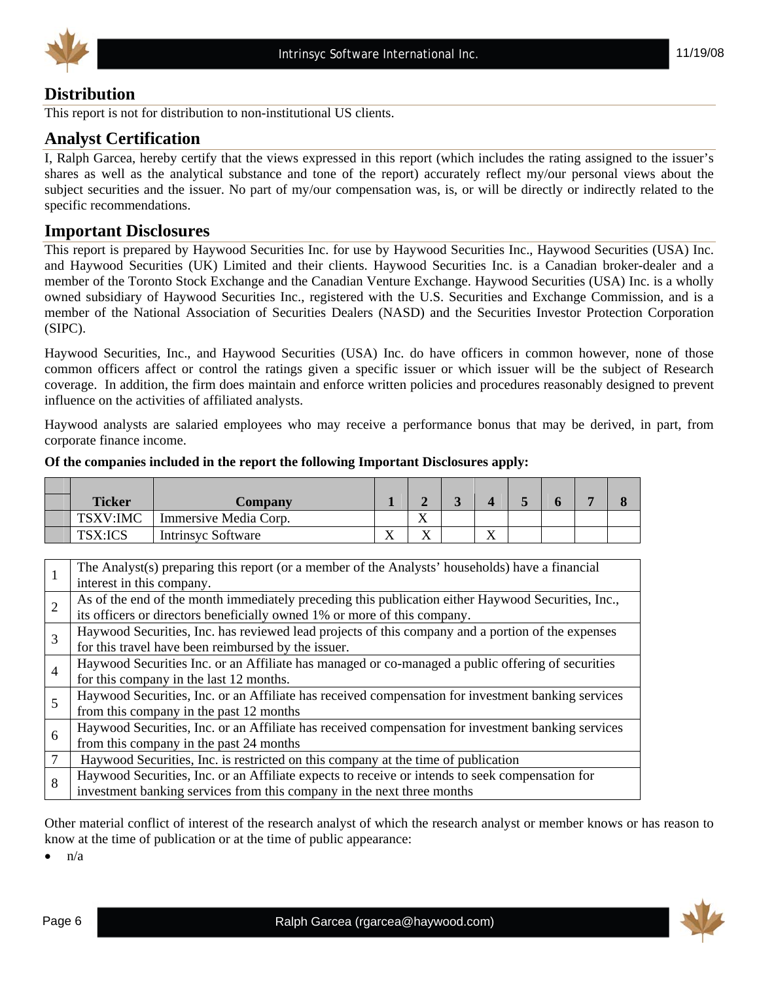



# **Distribution**

This report is not for distribution to non-institutional US clients.

# **Analyst Certification**

I, Ralph Garcea, hereby certify that the views expressed in this report (which includes the rating assigned to the issuer's shares as well as the analytical substance and tone of the report) accurately reflect my/our personal views about the subject securities and the issuer. No part of my/our compensation was, is, or will be directly or indirectly related to the specific recommendations.

## **Important Disclosures**

This report is prepared by Haywood Securities Inc. for use by Haywood Securities Inc., Haywood Securities (USA) Inc. and Haywood Securities (UK) Limited and their clients. Haywood Securities Inc. is a Canadian broker-dealer and a member of the Toronto Stock Exchange and the Canadian Venture Exchange. Haywood Securities (USA) Inc. is a wholly owned subsidiary of Haywood Securities Inc., registered with the U.S. Securities and Exchange Commission, and is a member of the National Association of Securities Dealers (NASD) and the Securities Investor Protection Corporation (SIPC).

Haywood Securities, Inc., and Haywood Securities (USA) Inc. do have officers in common however, none of those common officers affect or control the ratings given a specific issuer or which issuer will be the subject of Research coverage. In addition, the firm does maintain and enforce written policies and procedures reasonably designed to prevent influence on the activities of affiliated analysts.

Haywood analysts are salaried employees who may receive a performance bonus that may be derived, in part, from corporate finance income.

| <b>Ticker</b>  | Company                   |    |                   |                              |  |  |
|----------------|---------------------------|----|-------------------|------------------------------|--|--|
| TSXV:IMC       | Immersive Media Corp.     |    | $\mathbf{v}$<br>л |                              |  |  |
| <b>TSX:ICS</b> | <b>Intrinsyc Software</b> | 77 | $\mathbf{v}$<br>Δ | $\overline{\mathbf{x}}$<br>△ |  |  |

#### **Of the companies included in the report the following Important Disclosures apply:**

|                | The Analyst(s) preparing this report (or a member of the Analysts' households) have a financial    |
|----------------|----------------------------------------------------------------------------------------------------|
|                | interest in this company.                                                                          |
| $\overline{2}$ | As of the end of the month immediately preceding this publication either Haywood Securities, Inc., |
|                | its officers or directors beneficially owned 1% or more of this company.                           |
| 3              | Haywood Securities, Inc. has reviewed lead projects of this company and a portion of the expenses  |
|                | for this travel have been reimbursed by the issuer.                                                |
| $\overline{4}$ | Haywood Securities Inc. or an Affiliate has managed or co-managed a public offering of securities  |
|                | for this company in the last 12 months.                                                            |
| 5              | Haywood Securities, Inc. or an Affiliate has received compensation for investment banking services |
|                | from this company in the past 12 months                                                            |
| 6              | Haywood Securities, Inc. or an Affiliate has received compensation for investment banking services |
|                | from this company in the past 24 months                                                            |
|                | Haywood Securities, Inc. is restricted on this company at the time of publication                  |
| 8              | Haywood Securities, Inc. or an Affiliate expects to receive or intends to seek compensation for    |
|                | investment banking services from this company in the next three months                             |

Other material conflict of interest of the research analyst of which the research analyst or member knows or has reason to know at the time of publication or at the time of public appearance:

 $n/a$ 

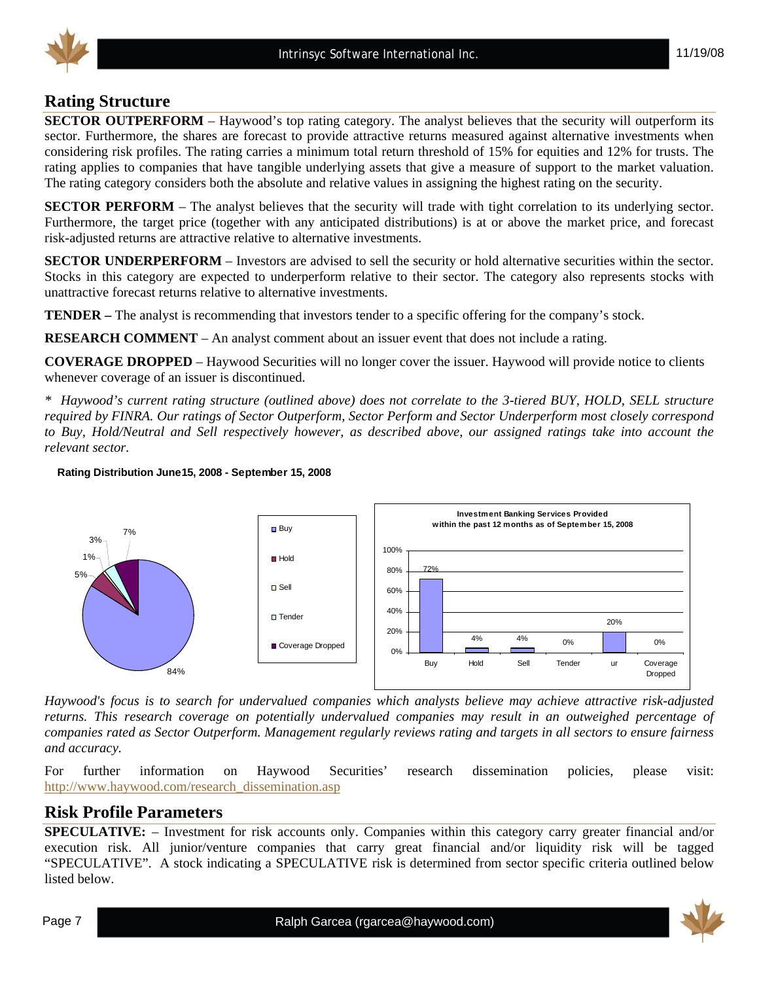

# **Rating Structure**

**SECTOR OUTPERFORM** – Haywood's top rating category. The analyst believes that the security will outperform its sector. Furthermore, the shares are forecast to provide attractive returns measured against alternative investments when considering risk profiles. The rating carries a minimum total return threshold of 15% for equities and 12% for trusts. The rating applies to companies that have tangible underlying assets that give a measure of support to the market valuation. The rating category considers both the absolute and relative values in assigning the highest rating on the security.

**SECTOR PERFORM** – The analyst believes that the security will trade with tight correlation to its underlying sector. Furthermore, the target price (together with any anticipated distributions) is at or above the market price, and forecast risk-adjusted returns are attractive relative to alternative investments.

**SECTOR UNDERPERFORM** – Investors are advised to sell the security or hold alternative securities within the sector. Stocks in this category are expected to underperform relative to their sector. The category also represents stocks with unattractive forecast returns relative to alternative investments.

**TENDER –** The analyst is recommending that investors tender to a specific offering for the company's stock.

**RESEARCH COMMENT** – An analyst comment about an issuer event that does not include a rating.

**COVERAGE DROPPED** – Haywood Securities will no longer cover the issuer. Haywood will provide notice to clients whenever coverage of an issuer is discontinued.

*\* Haywood's current rating structure (outlined above) does not correlate to the 3-tiered BUY, HOLD, SELL structure required by FINRA. Our ratings of Sector Outperform, Sector Perform and Sector Underperform most closely correspond to Buy, Hold/Neutral and Sell respectively however, as described above, our assigned ratings take into account the relevant sector.* 

#### **Rating Distribution June15, 2008 - September 15, 2008**



*Haywood's focus is to search for undervalued companies which analysts believe may achieve attractive risk-adjusted returns. This research coverage on potentially undervalued companies may result in an outweighed percentage of companies rated as Sector Outperform. Management regularly reviews rating and targets in all sectors to ensure fairness and accuracy.* 

For further information on Haywood Securities' research dissemination policies, please visit: [http://www.haywood.com/research\\_dissemination.asp](http://www.haywood.com/research_dissemination.asp) 

# **Risk Profile Parameters**

**SPECULATIVE:** – Investment for risk accounts only. Companies within this category carry greater financial and/or execution risk. All junior/venture companies that carry great financial and/or liquidity risk will be tagged "SPECULATIVE". A stock indicating a SPECULATIVE risk is determined from sector specific criteria outlined below listed below.

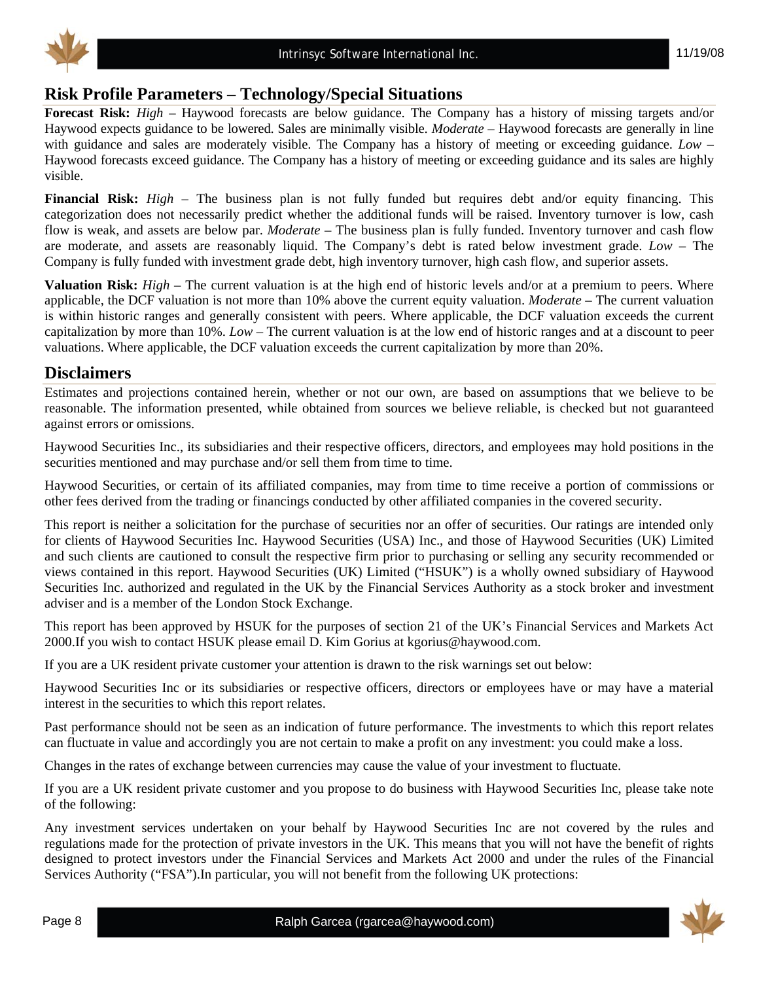

# **Risk Profile Parameters – Technology/Special Situations**

**Forecast Risk:** *High* – Haywood forecasts are below guidance. The Company has a history of missing targets and/or Haywood expects guidance to be lowered. Sales are minimally visible. *Moderate* – Haywood forecasts are generally in line with guidance and sales are moderately visible. The Company has a history of meeting or exceeding guidance. *Low* – Haywood forecasts exceed guidance. The Company has a history of meeting or exceeding guidance and its sales are highly visible.

**Financial Risk:** *High* – The business plan is not fully funded but requires debt and/or equity financing. This categorization does not necessarily predict whether the additional funds will be raised. Inventory turnover is low, cash flow is weak, and assets are below par. *Moderate* – The business plan is fully funded. Inventory turnover and cash flow are moderate, and assets are reasonably liquid. The Company's debt is rated below investment grade. *Low* – The Company is fully funded with investment grade debt, high inventory turnover, high cash flow, and superior assets.

**Valuation Risk:** *High* – The current valuation is at the high end of historic levels and/or at a premium to peers. Where applicable, the DCF valuation is not more than 10% above the current equity valuation. *Moderate* – The current valuation is within historic ranges and generally consistent with peers. Where applicable, the DCF valuation exceeds the current capitalization by more than 10%. *Low* – The current valuation is at the low end of historic ranges and at a discount to peer valuations. Where applicable, the DCF valuation exceeds the current capitalization by more than 20%.

# **Disclaimers**

Estimates and projections contained herein, whether or not our own, are based on assumptions that we believe to be reasonable. The information presented, while obtained from sources we believe reliable, is checked but not guaranteed against errors or omissions.

Haywood Securities Inc., its subsidiaries and their respective officers, directors, and employees may hold positions in the securities mentioned and may purchase and/or sell them from time to time.

Haywood Securities, or certain of its affiliated companies, may from time to time receive a portion of commissions or other fees derived from the trading or financings conducted by other affiliated companies in the covered security.

This report is neither a solicitation for the purchase of securities nor an offer of securities. Our ratings are intended only for clients of Haywood Securities Inc. Haywood Securities (USA) Inc., and those of Haywood Securities (UK) Limited and such clients are cautioned to consult the respective firm prior to purchasing or selling any security recommended or views contained in this report. Haywood Securities (UK) Limited ("HSUK") is a wholly owned subsidiary of Haywood Securities Inc. authorized and regulated in the UK by the Financial Services Authority as a stock broker and investment adviser and is a member of the London Stock Exchange.

This report has been approved by HSUK for the purposes of section 21 of the UK's Financial Services and Markets Act 2000.If you wish to contact HSUK please email D. Kim Gorius at kgorius@haywood.com.

If you are a UK resident private customer your attention is drawn to the risk warnings set out below:

Haywood Securities Inc or its subsidiaries or respective officers, directors or employees have or may have a material interest in the securities to which this report relates.

Past performance should not be seen as an indication of future performance. The investments to which this report relates can fluctuate in value and accordingly you are not certain to make a profit on any investment: you could make a loss.

Changes in the rates of exchange between currencies may cause the value of your investment to fluctuate.

If you are a UK resident private customer and you propose to do business with Haywood Securities Inc, please take note of the following:

Any investment services undertaken on your behalf by Haywood Securities Inc are not covered by the rules and regulations made for the protection of private investors in the UK. This means that you will not have the benefit of rights designed to protect investors under the Financial Services and Markets Act 2000 and under the rules of the Financial Services Authority ("FSA").In particular, you will not benefit from the following UK protections: